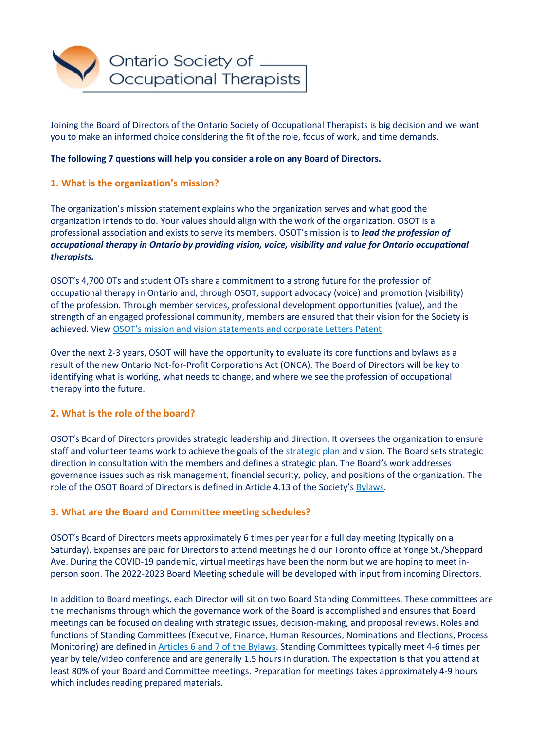

Joining the Board of Directors of the Ontario Society of Occupational Therapists is big decision and we want you to make an informed choice considering the fit of the role, focus of work, and time demands.

#### **The following 7 questions will help you consider a role on any Board of Directors.**

### **1. What is the organization's mission?**

The organization's mission statement explains who the organization serves and what good the organization intends to do. Your values should align with the work of the organization. OSOT is a professional association and exists to serve its members. OSOT's mission is to *lead the profession of occupational therapy in Ontario by providing vision, voice, visibility and value for Ontario occupational therapists.*

OSOT's 4,700 OTs and student OTs share a commitment to a strong future for the profession of occupational therapy in Ontario and, through OSOT, support advocacy (voice) and promotion (visibility) of the profession. Through member services, professional development opportunities (value), and the strength of an engaged professional community, members are ensured that their vision for the Society is achieved. View [OSOT's mission and vision statements and corporate](http://www.osot.on.ca/imis15/OSOT/About/Mission__Vision__Structure/OSOT/About_Pages/Mission__Vision__Structure.aspx?hkey=f6422e75-b2b1-4913-8371-98af60b052ec) Letters Patent.

Over the next 2-3 years, OSOT will have the opportunity to evaluate its core functions and bylaws as a result of the new Ontario Not-for-Profit Corporations Act (ONCA). The Board of Directors will be key to identifying what is working, what needs to change, and where we see the profession of occupational therapy into the future.

### **2. What is the role of the board?**

OSOT's Board of Directors provides strategic leadership and direction. It oversees the organization to ensure staff and volunteer teams work to achieve the goals of the [strategic plan](https://www.osot.on.ca/OSOT/About/Strategic_Plan/OSOT/About_Pages/Strategic_Plan.aspx?hkey=eaef7838-9bf5-4757-a25f-c91fdad7c81b) and vision. The Board sets strategic direction in consultation with the members and defines a strategic plan. The Board's work addresses governance issues such as risk management, financial security, policy, and positions of the organization. The role of the OSOT Board of Directors is defined in Article 4.13 of the Society's [Bylaws.](http://www.osot.on.ca/docs/about/OSOT_Bylaws_Approved_Sept_26_2008.pdf)

### **3. What are the Board and Committee meeting schedules?**

OSOT's Board of Directors meets approximately 6 times per year for a full day meeting (typically on a Saturday). Expenses are paid for Directors to attend meetings held our Toronto office at Yonge St./Sheppard Ave. During the COVID-19 pandemic, virtual meetings have been the norm but we are hoping to meet inperson soon. The 2022-2023 Board Meeting schedule will be developed with input from incoming Directors.

In addition to Board meetings, each Director will sit on two Board Standing Committees. These committees are the mechanisms through which the governance work of the Board is accomplished and ensures that Board meetings can be focused on dealing with strategic issues, decision-making, and proposal reviews. Roles and functions of Standing Committees (Executive, Finance, Human Resources, Nominations and Elections, Process Monitoring) are defined in [Articles 6 and 7 of the Bylaws.](http://www.osot.on.ca/OSOT/CMDownload.aspx?ContentKey=404b8954-2d74-4a8a-a1a8-3be3b6637451&ContentItemKey=006205ca-020c-47c8-ba9d-f8183cb12cce) Standing Committees typically meet 4-6 times per year by tele/video conference and are generally 1.5 hours in duration. The expectation is that you attend at least 80% of your Board and Committee meetings. Preparation for meetings takes approximately 4-9 hours which includes reading prepared materials.